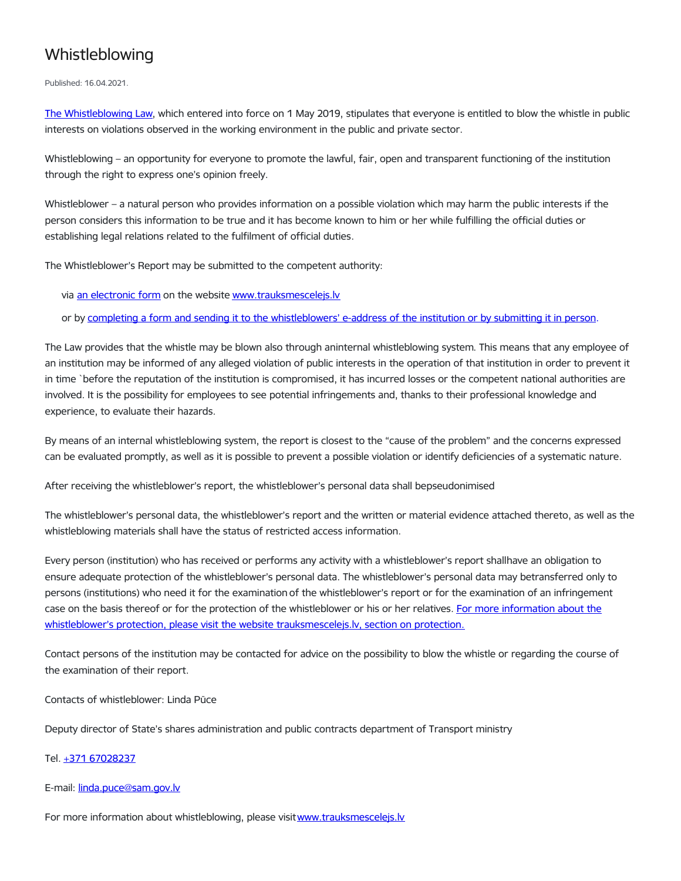## Whistleblowing

Published: 16.04.2021.

The [Whistleblowing](https://likumi.lv/ta/id/302465-trauksmes-celsanas-likums) Law, which entered into force on 1 May 2019, stipulates that everyone is entitled to blow the whistle in public interests on violations observed in the working environment in the public and private sector.

Whistleblowing – an opportunity for everyone to promote the lawful, fair, open and transparent functioning of the institution through the right to express one's opinion freely.

Whistleblower – a natural person who provides information on a possible violation which may harm the public interests if the person considers this information to be true and it has become known to him or her while fulfilling the official duties or establishing legal relations related to the fulfilment of official duties.

The Whistleblower's Report may be submitted to the competent authority:

via an [electronic](https://www.trauksmescelejs.lv/iesniegt-trauksmes-celsanas-zinojumu) form on the website [www.trauksmescelejs.lv](http://www.trauksmescelejs.lv/)

or by completing a form and sending it to the [whistleblowers'](https://www.trauksmescelejs.lv/sites/default/files/buttons-card-files/trauksmes_celeja_zinojuma_veidlapa_3.docx) e-address of the institution or by submitting it in person.

The Law provides that the whistle may be blown also through aninternal whistleblowing system. This means that any employee of an institution may be informed of any alleged violation of public interests in the operation of that institution in order to prevent it in time `before the reputation of the institution is compromised, it has incurred losses or the competent national authorities are involved. It is the possibility for employees to see potential infringements and, thanks to their professional knowledge and experience, to evaluate their hazards.

By means of an internal whistleblowing system, the report is closest to the "cause of the problem" and the concerns expressed can be evaluated promptly, as well as it is possible to prevent a possible violation or identify deficiencies of a systematic nature.

After receiving the whistleblower's report, the whistleblower's personal data shall bepseudonimised

The whistleblower's personal data, the whistleblower's report and the written or material evidence attached thereto, as well as the whistleblowing materials shall have the status of restricted access information.

Every person (institution) who has received or performs any activity with a whistleblower's report shallhave an obligation to ensure adequate protection of the whistleblower's personal data. The whistleblower's personal data may betransferred only to persons (institutions) who need it for the examination of the whistleblower's report or for the examination of an infringement case on the basis thereof or for the protection of the whistleblower or his or her relatives. For more information about the whistleblower's protection, please visit the website [trauksmescelejs.lv,](https://www.trauksmescelejs.lv/aizsardziba) section on protection.

Contact persons of the institution may be contacted for advice on the possibility to blow the whistle or regarding the course of the examination of their report.

Contacts of whistleblower: Linda Pūce

Deputy director of State's shares administration and public contracts department of Transport ministry

## Tel. +371 [67028237](tel:67028237)

## E-mail: [linda.puce@sam.gov.lv](mailto:linda.puce@sam.gov.lv)

For more information about whistleblowing, please visit www.trauksmescelejs.ly